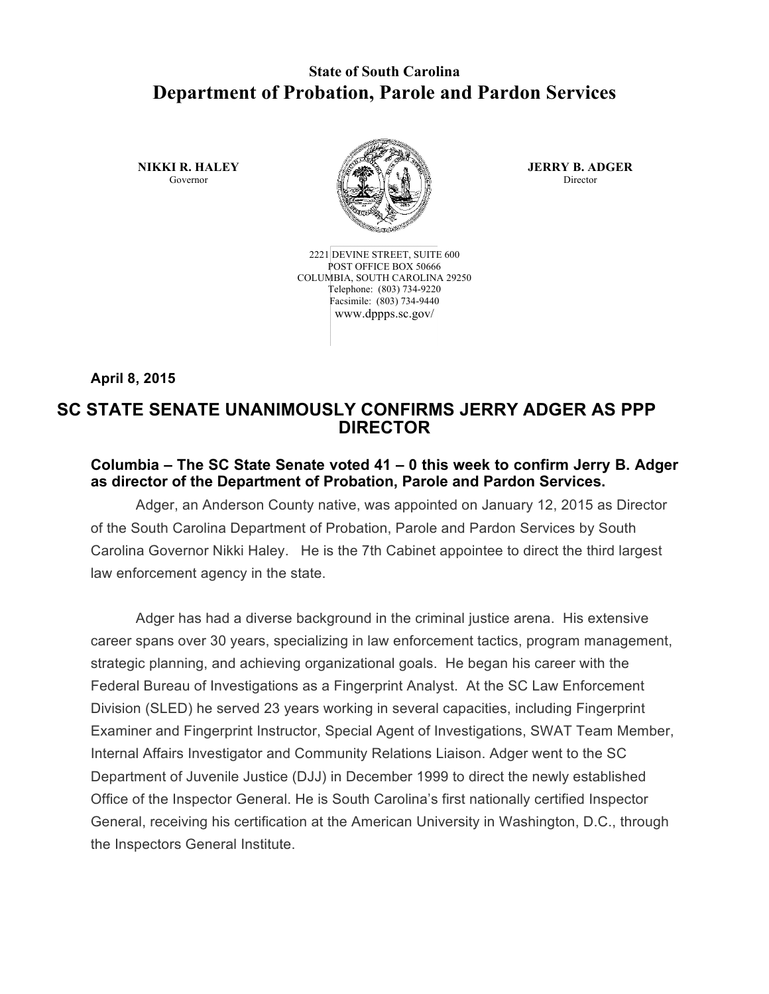## **State of South Carolina Department of Probation, Parole and Pardon Services**

**NIKKI R. HALEY** Governor



2221 DEVINE STREET, SUITE 600 POST OFFICE BOX 50666 COLUMBIA, SOUTH CAROLINA 29250 Telephone: (803) 734-9220 Facsimile: (803) 734-9440 www.dppps.sc.gov/

**JERRY B. ADGER** Director

**April 8, 2015**

## **SC STATE SENATE UNANIMOUSLY CONFIRMS JERRY ADGER AS PPP DIRECTOR**

## **Columbia – The SC State Senate voted 41 – 0 this week to confirm Jerry B. Adger as director of the Department of Probation, Parole and Pardon Services.**

Adger, an Anderson County native, was appointed on January 12, 2015 as Director of the South Carolina Department of Probation, Parole and Pardon Services by South Carolina Governor Nikki Haley. He is the 7th Cabinet appointee to direct the third largest law enforcement agency in the state.

Adger has had a diverse background in the criminal justice arena. His extensive career spans over 30 years, specializing in law enforcement tactics, program management, strategic planning, and achieving organizational goals. He began his career with the Federal Bureau of Investigations as a Fingerprint Analyst. At the SC Law Enforcement Division (SLED) he served 23 years working in several capacities, including Fingerprint Examiner and Fingerprint Instructor, Special Agent of Investigations, SWAT Team Member, Internal Affairs Investigator and Community Relations Liaison. Adger went to the SC Department of Juvenile Justice (DJJ) in December 1999 to direct the newly established Office of the Inspector General. He is South Carolina's first nationally certified Inspector General, receiving his certification at the American University in Washington, D.C., through the Inspectors General Institute.